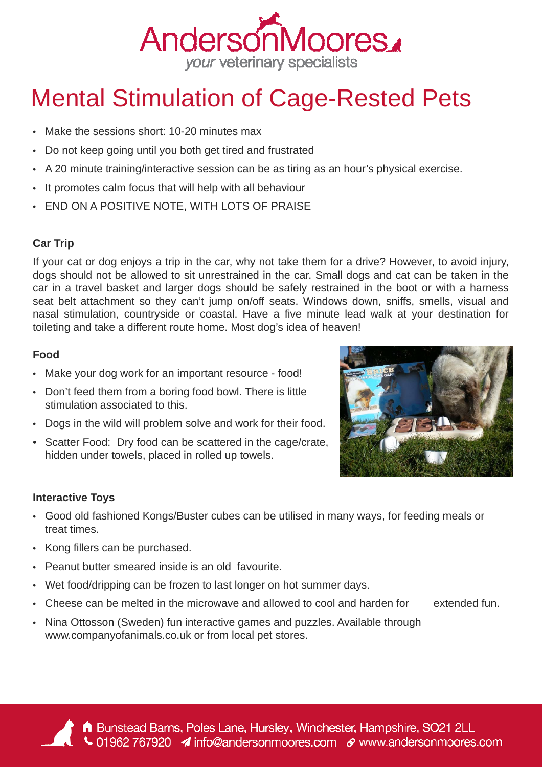

# Mental Stimulation of Cage-Rested Pets

- Make the sessions short: 10-20 minutes max
- Do not keep going until you both get tired and frustrated
- A 20 minute training/interactive session can be as tiring as an hour's physical exercise.
- It promotes calm focus that will help with all behaviour
- END ON A POSITIVE NOTE, WITH LOTS OF PRAISE

### **Car Trip**

If your cat or dog enjoys a trip in the car, why not take them for a drive? However, to avoid injury, dogs should not be allowed to sit unrestrained in the car. Small dogs and cat can be taken in the car in a travel basket and larger dogs should be safely restrained in the boot or with a harness seat belt attachment so they can't jump on/off seats. Windows down, sniffs, smells, visual and nasal stimulation, countryside or coastal. Have a five minute lead walk at your destination for toileting and take a different route home. Most dog's idea of heaven!

#### **Food**

- Make your dog work for an important resource food!
- Don't feed them from a boring food bowl. There is little stimulation associated to this.
- Dogs in the wild will problem solve and work for their food.
- Scatter Food: Dry food can be scattered in the cage/crate, hidden under towels, placed in rolled up towels.



### **Interactive Toys**

- Good old fashioned Kongs/Buster cubes can be utilised in many ways, for feeding meals or treat times.
- Kong fillers can be purchased.
- Peanut butter smeared inside is an old favourite.
- Wet food/dripping can be frozen to last longer on hot summer days.
- Cheese can be melted in the microwave and allowed to cool and harden for extended fun.
- Nina Ottosson (Sweden) fun interactive games and puzzles. Available through www.companyofanimals.co.uk or from local pet stores.